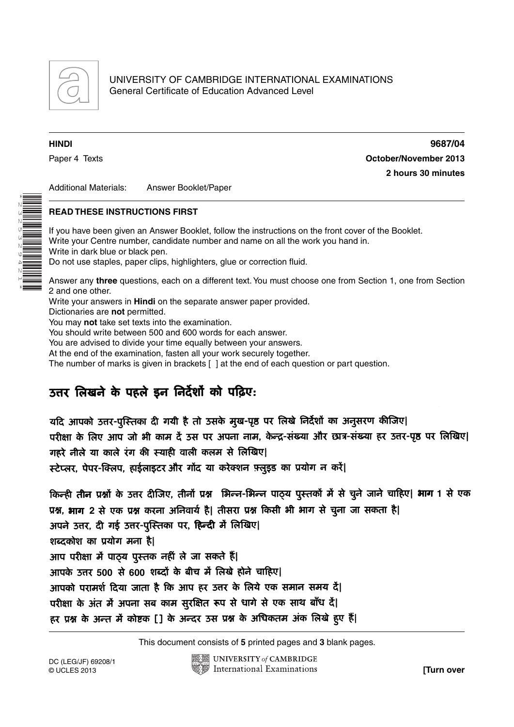

\*2325329421\*

## **HINDI 9687/04**

## Paper 4 Texts **October/November 2013 2 hours 30 minutes**

Additional Materials: Answer Booklet/Paper

#### **READ THESE INSTRUCTIONS FIRST**

If you have been given an Answer Booklet, follow the instructions on the front cover of the Booklet. Write your Centre number, candidate number and name on all the work you hand in. Write in dark blue or black pen. Do not use staples, paper clips, highlighters, glue or correction fluid. Answer any **three** questions, each on a different text. You must choose one from Section 1, one from Section 2 and one other. Write your answers in **Hindi** on the separate answer paper provided.

Dictionaries are **not** permitted.

You may **not** take set texts into the examination.

You should write between 500 and 600 words for each answer.

You are advised to divide your time equally between your answers.

At the end of the examination, fasten all your work securely together.

The number of marks is given in brackets [ ] at the end of each question or part question.

# उत्तर लिखने के पहले इन निर्देशों को पढिए:

यदि आपको उत्तर-पुस्तिका दी गयी है तो उसके मुख-पृष्ठ पर लिखे निर्देशों का अनुसरण कीजिए| परीक्षा के लिए आप जो भी काम दें उस पर अपना नाम, केन्द्र-संख्या और छात्र-संख्या हर उत्तर-पृष्ठ पर लिखिए| गहरे नीले या काले रंग की स्याही वाली कलम से लिखिए। स्टेप्लर, पेपर-क्लिप, हाईलाइटर और गोंद या करेक्शन फ़्लुइड का प्रयोग न करें।

किन्ही तीन प्रश्नों के उत्तर दीजिए, तीनों प्रश्न भिन्न-भिन्न पाठ्य पुस्तकों में से चुने जाने चाहिए| भाग 1 से एक प्रश्न, भाग 2 से एक प्रश्न करना अनिवार्य है| तीसरा प्रश्न किसी भी भाग से चुना जा सकता है| अपने उत्तर, दी गई उत्तर-पुस्तिका पर, हिन्दी में लिखिए| शब्दकोश का प्रयोग मना है। आप परीक्षा में पाठय पुस्तक नहीं ले जा सकते हैं। आपके उत्तर 500 से 600 शब्दों के बीच में लिखे होने चाहिए। आपको परामर्श दिया जाता है कि आप हर उतर के लिये एक समान समय दें| परीक्षा के अंत में अपना सब काम सुरक्षित रूप से धागे से एक साथ बाँध दें। हर प्रश्न के अन्त में कोष्टक [] के अन्दर उस प्रश्न के अधिकतम अंक लिखे हुए हैं|

This document consists of **5** printed pages and **3** blank pages.

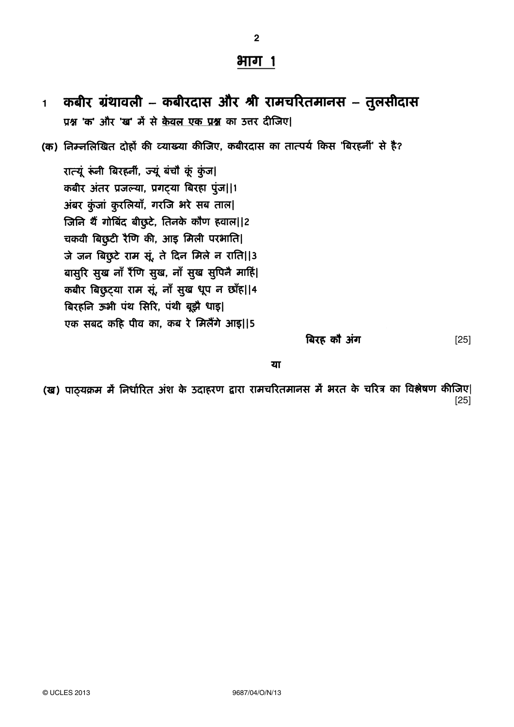## भाग 1

**2**

- कबीर ग्रंथावली कबीरदास और श्री रामचरितमानस तुलसीदास **1**प्रश्न 'क' और 'ख' में से केवल एक प्रश्न का उत्तर दीजिए।
- (क) निम्नलिखित दोहों की व्याख्या कीजिए, कबीरदास का तात्पर्य किस 'बिरहनीं' से है?

रात्यूं रूंनी बिरहनीं, ज्यूं बंचौं कूं कुंज। कबीर अंतर प्रजल्या, प्रगट्या बिरहा पूंज।।1 अंबर कुंजां कुरलियाँ, गरजि भरे सब ताल। जिनि थैं गोबिंद बीछूटे, तिनके कौण हवाल||2 चकवी बिछूटी रैणि की, आइ मिली परभाति| जे जन बिछूटे राम सूं, ते दिन मिले न राति||3 बासुरि सुख नाँ रैंणि सुख, नाँ सुख सुपिनै माहिं| कबीर बिछटया राम सूं, नाँ सुख धूप न छाँह।।4 बिरहनि ऊभी पंथ सिरि, पंथी बूझै धाइ। एक सबद कहि पीव का, कब रे मिलैंगे आइ।। 5

बिरह को अंग

[25]

या

|ख) पाठ्यक्रम में निर्धारित अंश के उदाहरण द्वारा रामचरितमानस में भरत के चरित्र का विश्लेषण कीजिए)<br>[25]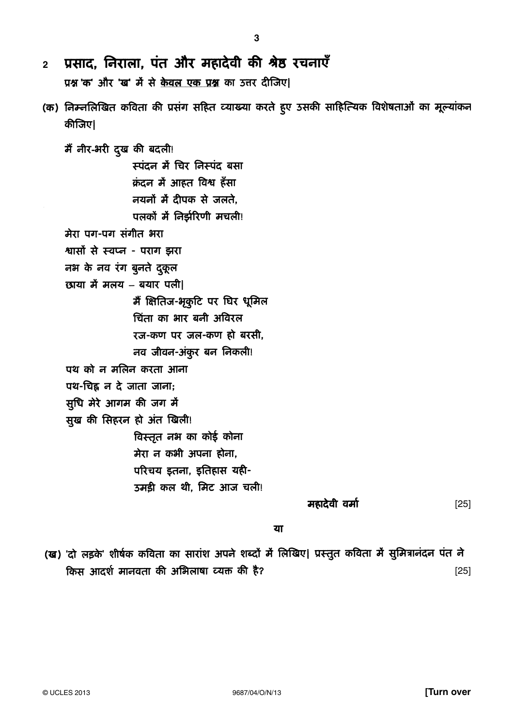प्रसाद. निराला. पंत और महादेवी की श्रेष्ठ रचनाएँ **2**प्रश्न 'क' और 'ख' में से केवल एक प्रश्न का उत्तर दीजिए।

मैं नीर-भरी दुख की बदली!

(क) निम्नलिखित कविता की प्रसंग सहित व्याख्या करते हुए उसकी साहित्यिक विशेषताओं का मूल्यांकन कीजिए।

**3**

स्पंदन में चिर निस्पंद बसा क्रंदन में आहत विश्व हँसा नयनों में दीपक से जलते. पलकों में निर्झरिणी मचली! मेरा पग-पग संगीत भरा श्वासों से स्वप्न - पराग झरा नभ के नव रंग बुनते दुकूल छाया में मलय - बयार पली| मैं क्षितिज-भकुटि पर घिर धूमिल चिंता का भार बनी अविरल रज-कण पर जल-कण हो बरसी, नव जीवन-अंकुर बन निकली! पथ को न मलिन करता आना पथ-चिह्न न दे जाता जाना; सुधि मेरे आगम की जग में सुख की सिहरन हो अंत खिली! विस्तृत नभ का कोई कोना मेरा न कभी अपना होना, परिचय इतना, इतिहास यही-उमड़ी कल थी, मिट आज चली! महादेवी वर्मा [25]

या

(ख) 'दो लड़के' शीर्षक कविता का सारांश अपने शब्दों में लिखिए| प्रस्तुत कविता में सुमित्रानंदन पंत ने किस आदर्श मानवता की अभिलाषा व्यक्त की है? [25]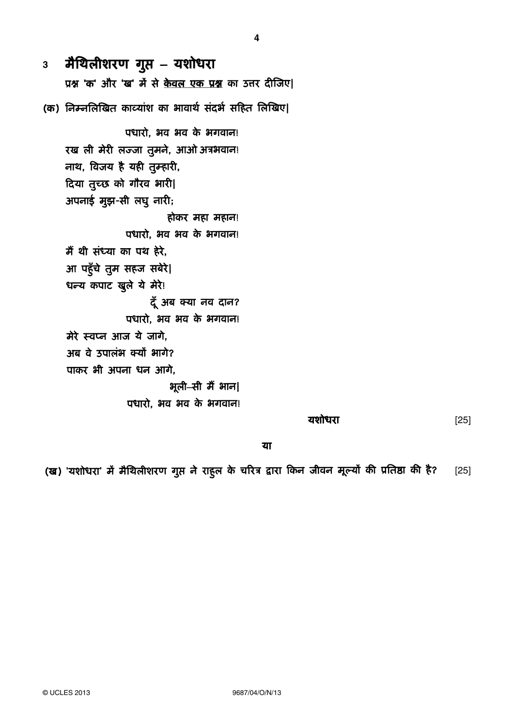मैथिलीशरण गुप्त – यशोधरा **3**प्रश्न 'क' और 'ख' में से केवल एक प्रश्न का उत्तर दीजिए। (क) निम्नलिखित काव्यांश का भावार्थ संदर्भ सहित लिखिए। पधारो. भव भव के भगवान! रख ली मेरी लज्जा तुमने, आओ अत्रभवान! नाथ, विजय है यही तुम्हारी, दिया तृच्छ को गौरव भारी| अपनाई मुझ-सी लघु नारी; होकर महा महान! पधारो. भव भव के भगवान! मैं थी संध्या का पथ हेरे. आ पहुँचे तुम सहज सबेरे| धन्य कपाट खुले ये मेरे! दूँ अब क्या नव दान? पधारो. भव भव के भगवान! मेरे स्वप्न आज ये जागे. अब वे उपालंभ क्यों भागे? पाकर भी अपना धन आगे. भूली-सी मैं भान| पधारो, भव भव के भगवान!

यशोधरा [25]

या

(ख) 'यशोधरा' में मैथिलीशरण गूप्त ने राहुल के चरित्र द्वारा किन जीवन मूल्यों की प्रतिष्ठा की है? [25]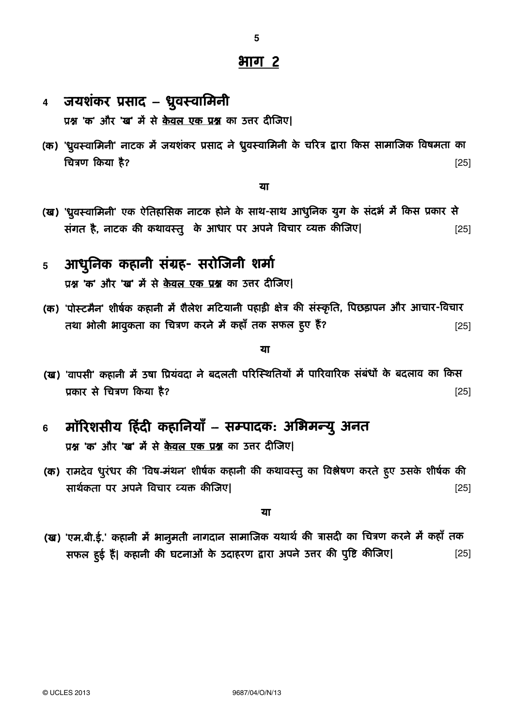## भाग २

**5**

- जयशंकर प्रसाद ध्रुवस्वामिनी **4** प्रश्न 'क' और 'ख' में से केवल एक प्रश्न का उत्तर दीजिए।
- (क) 'ध्रुवस्वामिनी' नाटक में जयशंकर प्रसाद ने ध्रुवस्वामिनी के चरित्र द्वारा किस सामाजिक विषमता का चित्रण किया है? [25]

या

- (ख) 'ध्रुवस्वामिनी' एक ऐतिहासिक नाटक होने के साथ-साथ आधुनिक युग के संदर्भ में किस प्रकार से संगत है, नाटक की कथावस्तु के आधार पर अपने विचार व्यक्त कीजिए| [25]
- आधुनिक कहानी संग्रह- सरोजिनी शर्मा **5** प्रश्न 'क' और 'ख' में से <u>केवल एक प्रश्न</u> का उत्तर दीजिए|
- (क) 'पोस्टमैन' शीर्षक कहानी में शैलेश मटियानी पहाड़ी क्षेत्र की संस्कृति, पिछड़ापन और आचार-विचार तथा भोली भावूकता का चित्रण करने में कहाँ तक सफल हुए हैं? [25]

या

- (ख) 'वापसी' कहानी में उषा प्रियंवदा ने बदलती परिस्थितियों में पारिवारिक संबंधों के बदलाव का किस प्रकार से चित्रण किया है? [25]
- मॉरिशसीय हिंदी कहानियाँ सम्पादक: अभिमन्यु अनत **6**प्रश्न 'क' और 'ख' में से केवल एक प्रश्न का उत्तर दीजिए|
- (क) रामदेव धुरंधर की 'विष-मंथन' शीर्षक कहानी की कथावस्तू का विश्लेषण करते हुए उसके शीर्षक की सार्थकता पर अपने विचार व्यक्त कीजिए। [25]

या

(ख) 'एम.बी.ई.' कहानी में भानुमती नागदान सामाजिक यथार्थ की त्रासदी का चित्रण करने में कहाँ तक सफल हुई हैं। कहानी की घटनाओं के उदाहरण द्वारा अपने उत्तर की पुष्टि कीजिए। [25]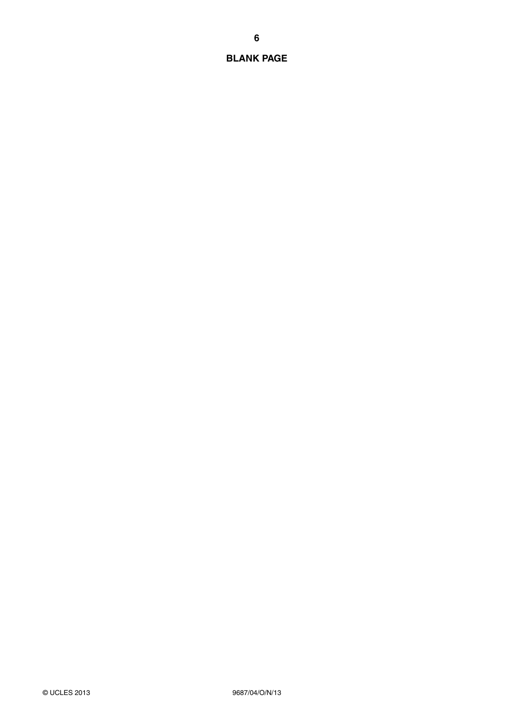## **BLANK PAGE**

**6**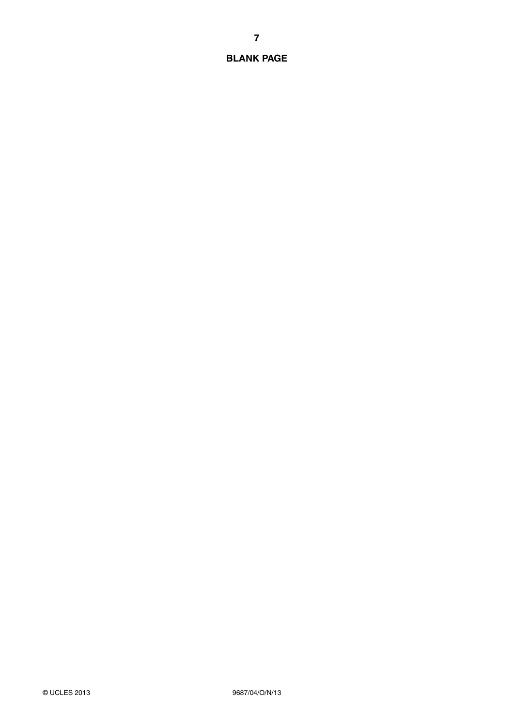## **BLANK PAGE**

**7**